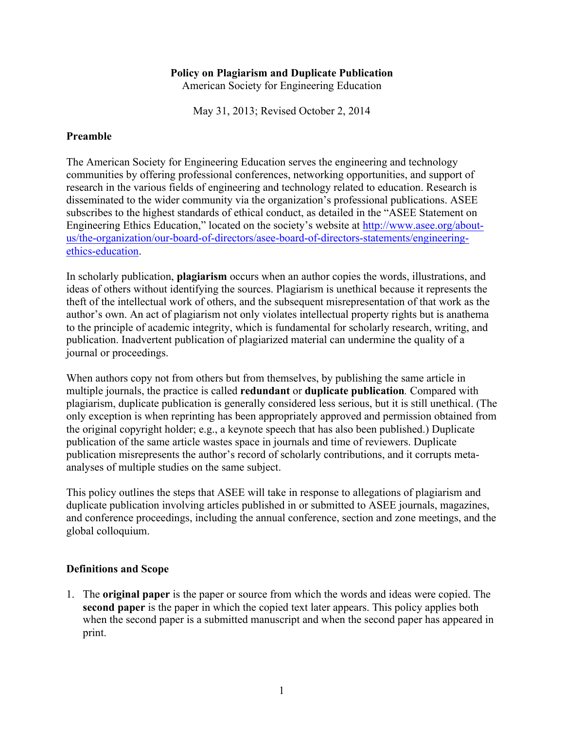### **Policy on Plagiarism and Duplicate Publication**

American Society for Engineering Education

May 31, 2013; Revised October 2, 2014

### **Preamble**

The American Society for Engineering Education serves the engineering and technology communities by offering professional conferences, networking opportunities, and support of research in the various fields of engineering and technology related to education. Research is disseminated to the wider community via the organization's professional publications. ASEE subscribes to the highest standards of ethical conduct, as detailed in the "ASEE Statement on Engineering Ethics Education," located on the society's website at http://www.asee.org/aboutus/the-organization/our-board-of-directors/asee-board-of-directors-statements/engineeringethics-education.

In scholarly publication, **plagiarism** occurs when an author copies the words, illustrations, and ideas of others without identifying the sources. Plagiarism is unethical because it represents the theft of the intellectual work of others, and the subsequent misrepresentation of that work as the author's own. An act of plagiarism not only violates intellectual property rights but is anathema to the principle of academic integrity, which is fundamental for scholarly research, writing, and publication. Inadvertent publication of plagiarized material can undermine the quality of a journal or proceedings.

When authors copy not from others but from themselves, by publishing the same article in multiple journals, the practice is called **redundant** or **duplicate publication***.* Compared with plagiarism, duplicate publication is generally considered less serious, but it is still unethical. (The only exception is when reprinting has been appropriately approved and permission obtained from the original copyright holder; e.g., a keynote speech that has also been published.) Duplicate publication of the same article wastes space in journals and time of reviewers. Duplicate publication misrepresents the author's record of scholarly contributions, and it corrupts metaanalyses of multiple studies on the same subject.

This policy outlines the steps that ASEE will take in response to allegations of plagiarism and duplicate publication involving articles published in or submitted to ASEE journals, magazines, and conference proceedings, including the annual conference, section and zone meetings, and the global colloquium.

## **Definitions and Scope**

1. The **original paper** is the paper or source from which the words and ideas were copied. The **second paper** is the paper in which the copied text later appears. This policy applies both when the second paper is a submitted manuscript and when the second paper has appeared in print.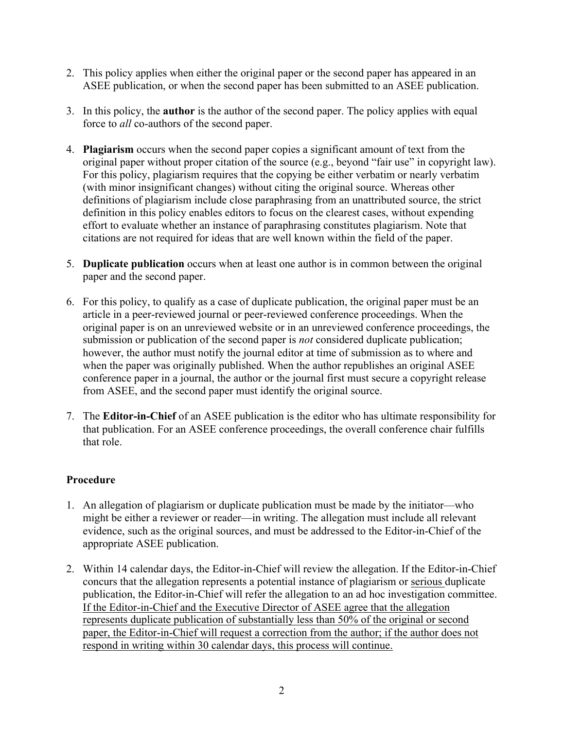- 2. This policy applies when either the original paper or the second paper has appeared in an ASEE publication, or when the second paper has been submitted to an ASEE publication.
- 3. In this policy, the **author** is the author of the second paper. The policy applies with equal force to *all* co-authors of the second paper.
- 4. **Plagiarism** occurs when the second paper copies a significant amount of text from the original paper without proper citation of the source (e.g., beyond "fair use" in copyright law). For this policy, plagiarism requires that the copying be either verbatim or nearly verbatim (with minor insignificant changes) without citing the original source. Whereas other definitions of plagiarism include close paraphrasing from an unattributed source, the strict definition in this policy enables editors to focus on the clearest cases, without expending effort to evaluate whether an instance of paraphrasing constitutes plagiarism. Note that citations are not required for ideas that are well known within the field of the paper.
- 5. **Duplicate publication** occurs when at least one author is in common between the original paper and the second paper.
- 6. For this policy, to qualify as a case of duplicate publication, the original paper must be an article in a peer-reviewed journal or peer-reviewed conference proceedings. When the original paper is on an unreviewed website or in an unreviewed conference proceedings, the submission or publication of the second paper is *not* considered duplicate publication; however, the author must notify the journal editor at time of submission as to where and when the paper was originally published. When the author republishes an original ASEE conference paper in a journal, the author or the journal first must secure a copyright release from ASEE, and the second paper must identify the original source.
- 7. The **Editor-in-Chief** of an ASEE publication is the editor who has ultimate responsibility for that publication. For an ASEE conference proceedings, the overall conference chair fulfills that role.

# **Procedure**

- 1. An allegation of plagiarism or duplicate publication must be made by the initiator—who might be either a reviewer or reader—in writing. The allegation must include all relevant evidence, such as the original sources, and must be addressed to the Editor-in-Chief of the appropriate ASEE publication.
- 2. Within 14 calendar days, the Editor-in-Chief will review the allegation. If the Editor-in-Chief concurs that the allegation represents a potential instance of plagiarism or serious duplicate publication, the Editor-in-Chief will refer the allegation to an ad hoc investigation committee. If the Editor-in-Chief and the Executive Director of ASEE agree that the allegation represents duplicate publication of substantially less than 50% of the original or second paper, the Editor-in-Chief will request a correction from the author; if the author does not respond in writing within 30 calendar days, this process will continue.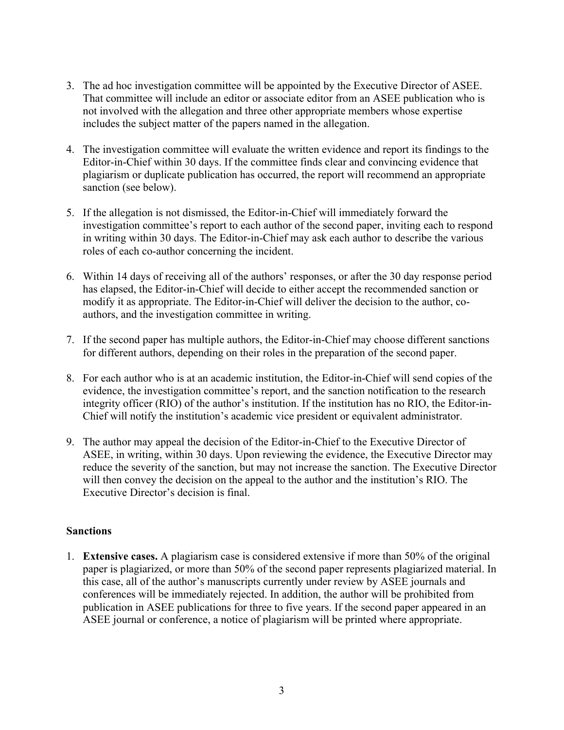- 3. The ad hoc investigation committee will be appointed by the Executive Director of ASEE. That committee will include an editor or associate editor from an ASEE publication who is not involved with the allegation and three other appropriate members whose expertise includes the subject matter of the papers named in the allegation.
- 4. The investigation committee will evaluate the written evidence and report its findings to the Editor-in-Chief within 30 days. If the committee finds clear and convincing evidence that plagiarism or duplicate publication has occurred, the report will recommend an appropriate sanction (see below).
- 5. If the allegation is not dismissed, the Editor-in-Chief will immediately forward the investigation committee's report to each author of the second paper, inviting each to respond in writing within 30 days. The Editor-in-Chief may ask each author to describe the various roles of each co-author concerning the incident.
- 6. Within 14 days of receiving all of the authors' responses, or after the 30 day response period has elapsed, the Editor-in-Chief will decide to either accept the recommended sanction or modify it as appropriate. The Editor-in-Chief will deliver the decision to the author, coauthors, and the investigation committee in writing.
- 7. If the second paper has multiple authors, the Editor-in-Chief may choose different sanctions for different authors, depending on their roles in the preparation of the second paper.
- 8. For each author who is at an academic institution, the Editor-in-Chief will send copies of the evidence, the investigation committee's report, and the sanction notification to the research integrity officer (RIO) of the author's institution. If the institution has no RIO, the Editor-in-Chief will notify the institution's academic vice president or equivalent administrator.
- 9. The author may appeal the decision of the Editor-in-Chief to the Executive Director of ASEE, in writing, within 30 days. Upon reviewing the evidence, the Executive Director may reduce the severity of the sanction, but may not increase the sanction. The Executive Director will then convey the decision on the appeal to the author and the institution's RIO. The Executive Director's decision is final.

## **Sanctions**

1. **Extensive cases.** A plagiarism case is considered extensive if more than 50% of the original paper is plagiarized, or more than 50% of the second paper represents plagiarized material. In this case, all of the author's manuscripts currently under review by ASEE journals and conferences will be immediately rejected. In addition, the author will be prohibited from publication in ASEE publications for three to five years. If the second paper appeared in an ASEE journal or conference, a notice of plagiarism will be printed where appropriate.